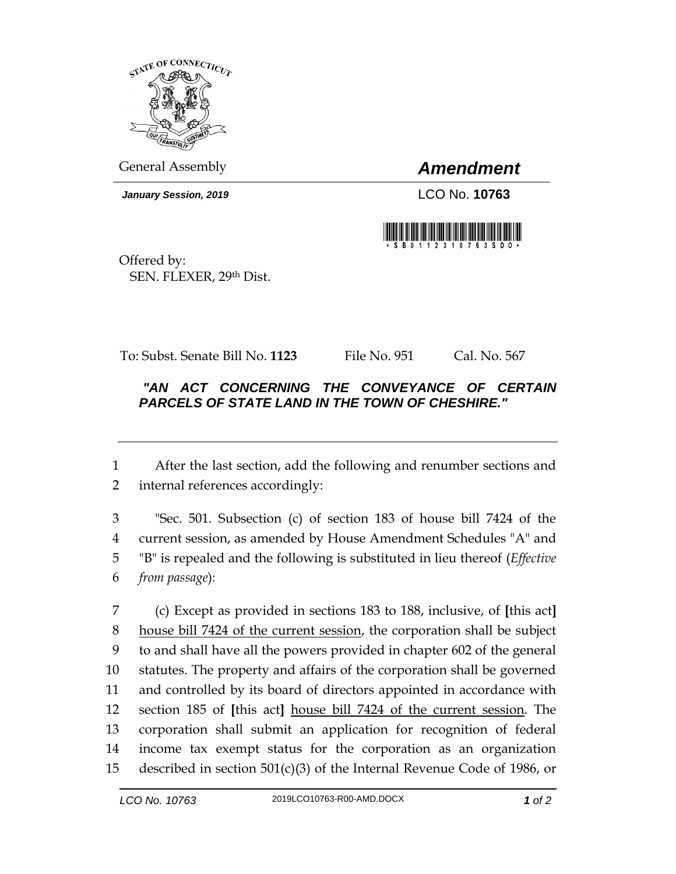

General Assembly *Amendment*

*January Session, 2019* LCO No. **10763**



Offered by: SEN. FLEXER, 29th Dist.

To: Subst. Senate Bill No. **1123** File No. 951 Cal. No. 567

## *"AN ACT CONCERNING THE CONVEYANCE OF CERTAIN PARCELS OF STATE LAND IN THE TOWN OF CHESHIRE."*

 After the last section, add the following and renumber sections and internal references accordingly:

 "Sec. 501. Subsection (c) of section 183 of house bill 7424 of the current session, as amended by House Amendment Schedules "A" and "B" is repealed and the following is substituted in lieu thereof (*Effective from passage*):

 (c) Except as provided in sections 183 to 188, inclusive, of **[**this act**]** house bill 7424 of the current session, the corporation shall be subject to and shall have all the powers provided in chapter 602 of the general statutes. The property and affairs of the corporation shall be governed and controlled by its board of directors appointed in accordance with section 185 of **[**this act**]** house bill 7424 of the current session. The corporation shall submit an application for recognition of federal income tax exempt status for the corporation as an organization described in section 501(c)(3) of the Internal Revenue Code of 1986, or